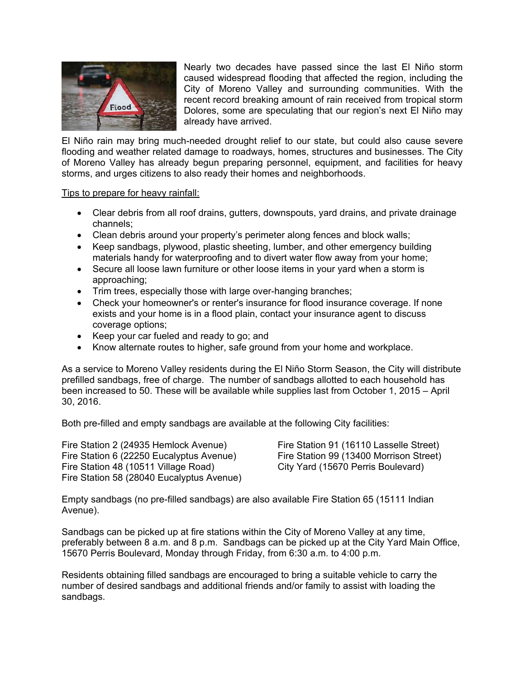

Nearly two decades have passed since the last El Niño storm caused widespread flooding that affected the region, including the City of Moreno Valley and surrounding communities. With the recent record breaking amount of rain received from tropical storm Dolores, some are speculating that our region's next El Niño may already have arrived.

El Niño rain may bring much-needed drought relief to our state, but could also cause severe flooding and weather related damage to roadways, homes, structures and businesses. The City of Moreno Valley has already begun preparing personnel, equipment, and facilities for heavy storms, and urges citizens to also ready their homes and neighborhoods.

## Tips to prepare for heavy rainfall:

- Clear debris from all roof drains, gutters, downspouts, yard drains, and private drainage channels;
- Clean debris around your property's perimeter along fences and block walls;
- Keep sandbags, plywood, plastic sheeting, lumber, and other emergency building materials handy for waterproofing and to divert water flow away from your home;
- Secure all loose lawn furniture or other loose items in your yard when a storm is approaching;
- Trim trees, especially those with large over-hanging branches;
- Check your homeowner's or renter's insurance for flood insurance coverage. If none exists and your home is in a flood plain, contact your insurance agent to discuss coverage options;
- Keep your car fueled and ready to go; and
- Know alternate routes to higher, safe ground from your home and workplace.

As a service to Moreno Valley residents during the El Niño Storm Season, the City will distribute prefilled sandbags, free of charge. The number of sandbags allotted to each household has been increased to 50. These will be available while supplies last from October 1, 2015 – April 30, 2016.

Both pre-filled and empty sandbags are available at the following City facilities:

Fire Station 2 (24935 Hemlock Avenue) Fire Station 6 (22250 Eucalyptus Avenue) Fire Station 48 (10511 Village Road) Fire Station 58 (28040 Eucalyptus Avenue) Fire Station 91 (16110 Lasselle Street) Fire Station 99 (13400 Morrison Street) City Yard (15670 Perris Boulevard)

Empty sandbags (no pre-filled sandbags) are also available Fire Station 65 (15111 Indian Avenue).

Sandbags can be picked up at fire stations within the City of Moreno Valley at any time, preferably between 8 a.m. and 8 p.m. Sandbags can be picked up at the City Yard Main Office, 15670 Perris Boulevard, Monday through Friday, from 6:30 a.m. to 4:00 p.m.

Residents obtaining filled sandbags are encouraged to bring a suitable vehicle to carry the number of desired sandbags and additional friends and/or family to assist with loading the sandbags.